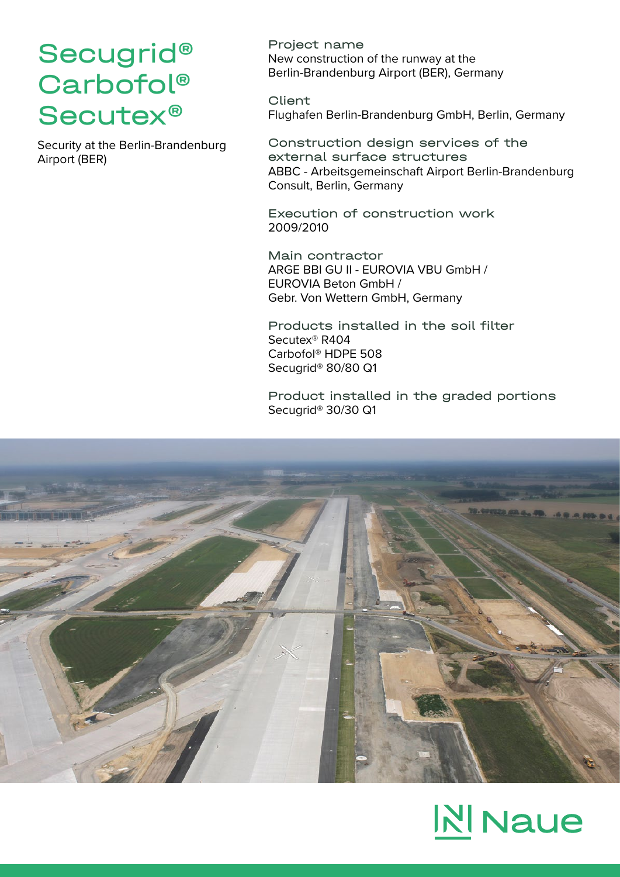## Secugrid® Carbofol® Secutex®

Security at the Berlin-Brandenburg Airport (BER)

Project name New construction of the runway at the Berlin-Brandenburg Airport (BER), Germany

Client Flughafen Berlin-Brandenburg GmbH, Berlin, Germany

Construction design services of the external surface structures ABBC - Arbeitsgemeinschaft Airport Berlin-Brandenburg Consult, Berlin, Germany

Execution of construction work 2009/2010

Main contractor ARGE BBI GU II - EUROVIA VBU GmbH / EUROVIA Beton GmbH / Gebr. Von Wettern GmbH, Germany

Products installed in the soil filter Secutex® R404 Carbofol® HDPE 508 Secugrid® 80/80 Q1

Product installed in the graded portions Secugrid® 30/30 Q1



# **NINaue**